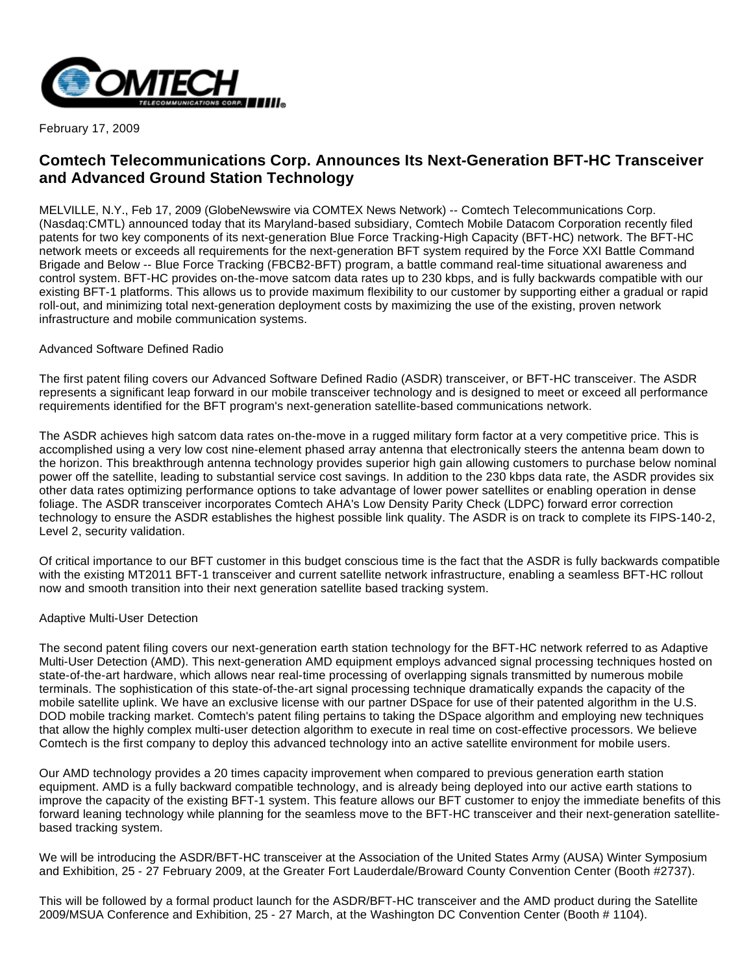

February 17, 2009

## **Comtech Telecommunications Corp. Announces Its Next-Generation BFT-HC Transceiver and Advanced Ground Station Technology**

MELVILLE, N.Y., Feb 17, 2009 (GlobeNewswire via COMTEX News Network) -- Comtech Telecommunications Corp. (Nasdaq:CMTL) announced today that its Maryland-based subsidiary, Comtech Mobile Datacom Corporation recently filed patents for two key components of its next-generation Blue Force Tracking-High Capacity (BFT-HC) network. The BFT-HC network meets or exceeds all requirements for the next-generation BFT system required by the Force XXI Battle Command Brigade and Below -- Blue Force Tracking (FBCB2-BFT) program, a battle command real-time situational awareness and control system. BFT-HC provides on-the-move satcom data rates up to 230 kbps, and is fully backwards compatible with our existing BFT-1 platforms. This allows us to provide maximum flexibility to our customer by supporting either a gradual or rapid roll-out, and minimizing total next-generation deployment costs by maximizing the use of the existing, proven network infrastructure and mobile communication systems.

## Advanced Software Defined Radio

The first patent filing covers our Advanced Software Defined Radio (ASDR) transceiver, or BFT-HC transceiver. The ASDR represents a significant leap forward in our mobile transceiver technology and is designed to meet or exceed all performance requirements identified for the BFT program's next-generation satellite-based communications network.

The ASDR achieves high satcom data rates on-the-move in a rugged military form factor at a very competitive price. This is accomplished using a very low cost nine-element phased array antenna that electronically steers the antenna beam down to the horizon. This breakthrough antenna technology provides superior high gain allowing customers to purchase below nominal power off the satellite, leading to substantial service cost savings. In addition to the 230 kbps data rate, the ASDR provides six other data rates optimizing performance options to take advantage of lower power satellites or enabling operation in dense foliage. The ASDR transceiver incorporates Comtech AHA's Low Density Parity Check (LDPC) forward error correction technology to ensure the ASDR establishes the highest possible link quality. The ASDR is on track to complete its FIPS-140-2, Level 2, security validation.

Of critical importance to our BFT customer in this budget conscious time is the fact that the ASDR is fully backwards compatible with the existing MT2011 BFT-1 transceiver and current satellite network infrastructure, enabling a seamless BFT-HC rollout now and smooth transition into their next generation satellite based tracking system.

## Adaptive Multi-User Detection

The second patent filing covers our next-generation earth station technology for the BFT-HC network referred to as Adaptive Multi-User Detection (AMD). This next-generation AMD equipment employs advanced signal processing techniques hosted on state-of-the-art hardware, which allows near real-time processing of overlapping signals transmitted by numerous mobile terminals. The sophistication of this state-of-the-art signal processing technique dramatically expands the capacity of the mobile satellite uplink. We have an exclusive license with our partner DSpace for use of their patented algorithm in the U.S. DOD mobile tracking market. Comtech's patent filing pertains to taking the DSpace algorithm and employing new techniques that allow the highly complex multi-user detection algorithm to execute in real time on cost-effective processors. We believe Comtech is the first company to deploy this advanced technology into an active satellite environment for mobile users.

Our AMD technology provides a 20 times capacity improvement when compared to previous generation earth station equipment. AMD is a fully backward compatible technology, and is already being deployed into our active earth stations to improve the capacity of the existing BFT-1 system. This feature allows our BFT customer to enjoy the immediate benefits of this forward leaning technology while planning for the seamless move to the BFT-HC transceiver and their next-generation satellitebased tracking system.

We will be introducing the ASDR/BFT-HC transceiver at the Association of the United States Army (AUSA) Winter Symposium and Exhibition, 25 - 27 February 2009, at the Greater Fort Lauderdale/Broward County Convention Center (Booth #2737).

This will be followed by a formal product launch for the ASDR/BFT-HC transceiver and the AMD product during the Satellite 2009/MSUA Conference and Exhibition, 25 - 27 March, at the Washington DC Convention Center (Booth # 1104).